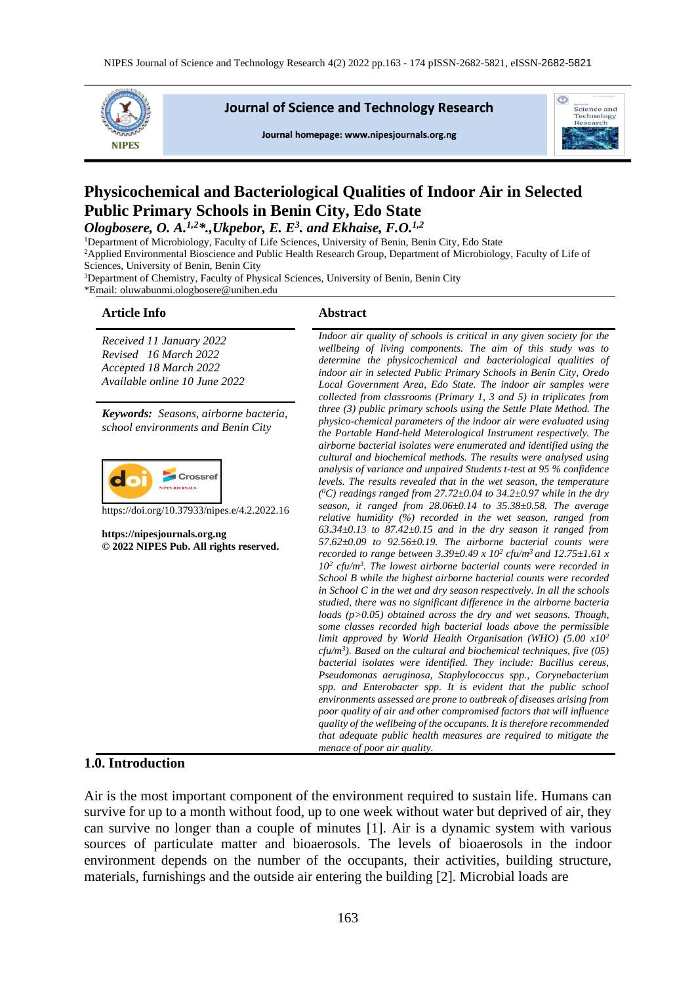

**Journal of Science and Technology Research** 

Journal homepage: www.nipesjournals.org.ng



# **Physicochemical and Bacteriological Qualities of Indoor Air in Selected Public Primary Schools in Benin City, Edo State**

*Ologbosere, O. A.1,2\*.,Ukpebor, E. E<sup>3</sup> . and Ekhaise, F.O.1,2*

<sup>1</sup>Department of Microbiology, Faculty of Life Sciences, University of Benin, Benin City, Edo State

<sup>2</sup>Applied Environmental Bioscience and Public Health Research Group, Department of Microbiology, Faculty of Life of Sciences, University of Benin, Benin City

<sup>3</sup>Department of Chemistry, Faculty of Physical Sciences, University of Benin, Benin City

\*Email: oluwabunmi.ologbosere@uniben.edu

#### **Article Info Abstract**

*Received 11 January 2022 Revised 16 March 2022 Accepted 18 March 2022 Available online 10 June 2022*

*Keywords: Seasons, airborne bacteria, school environments and Benin City*



https://doi.org/10.37933/nipes.e/4.2.2022.16

**https://nipesjournals.org.ng © 2022 NIPES Pub. All rights reserved.**

*Indoor air quality of schools is critical in any given society for the wellbeing of living components. The aim of this study was to determine the physicochemical and bacteriological qualities of indoor air in selected Public Primary Schools in Benin City, Oredo Local Government Area, Edo State. The indoor air samples were collected from classrooms (Primary 1, 3 and 5) in triplicates from three (3) public primary schools using the Settle Plate Method. The physico-chemical parameters of the indoor air were evaluated using the Portable Hand-held Meterological Instrument respectively. The airborne bacterial isolates were enumerated and identified using the cultural and biochemical methods. The results were analysed using analysis of variance and unpaired Students t-test at 95 % confidence levels. The results revealed that in the wet season, the temperature*   $(°C)$  readings ranged from 27.72 $\pm$ 0.04 to 34.2 $\pm$ 0.97 while in the dry *season, it ranged from 28.06±0.14 to 35.38±0.58. The average relative humidity (%) recorded in the wet season, ranged from 63.34±0.13 to 87.42±0.15 and in the dry season it ranged from 57.62±0.09 to 92.56±0.19. The airborne bacterial counts were recorded to range between 3.39±0.49 x 10<sup>2</sup> cfu/m<sup>3</sup> and 12.75±1.61 x 10<sup>2</sup> cfu/m<sup>3</sup> . The lowest airborne bacterial counts were recorded in School B while the highest airborne bacterial counts were recorded in School C in the wet and dry season respectively. In all the schools studied, there was no significant difference in the airborne bacteria loads (p>0.05) obtained across the dry and wet seasons. Though, some classes recorded high bacterial loads above the permissible limit approved by World Health Organisation (WHO) (5.00 x10<sup>2</sup> cfu/m<sup>3</sup> ). Based on the cultural and biochemical techniques, five (05) bacterial isolates were identified. They include: Bacillus cereus, Pseudomonas aeruginosa, Staphylococcus spp., Corynebacterium spp. and Enterobacter spp. It is evident that the public school environments assessed are prone to outbreak of diseases arising from poor quality of air and other compromised factors that will influence quality of the wellbeing of the occupants. It is therefore recommended that adequate public health measures are required to mitigate the menace of poor air quality.* 

#### **1.0. Introduction**

Air is the most important component of the environment required to sustain life. Humans can survive for up to a month without food, up to one week without water but deprived of air, they can survive no longer than a couple of minutes [1]. Air is a dynamic system with various sources of particulate matter and bioaerosols. The levels of bioaerosols in the indoor environment depends on the number of the occupants, their activities, building structure, materials, furnishings and the outside air entering the building [2]. Microbial loads are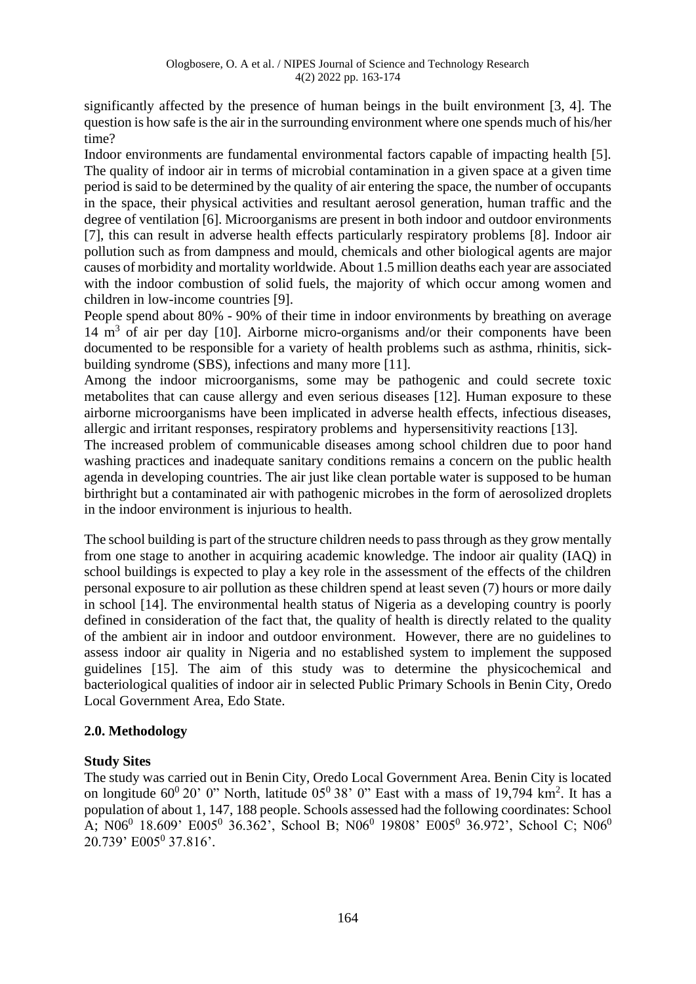significantly affected by the presence of human beings in the built environment [3, 4]. The question is how safe is the air in the surrounding environment where one spends much of his/her time?

Indoor environments are fundamental environmental factors capable of impacting health [5]. The quality of indoor air in terms of microbial contamination in a given space at a given time period is said to be determined by the quality of air entering the space, the number of occupants in the space, their physical activities and resultant aerosol generation, human traffic and the degree of ventilation [6]. Microorganisms are present in both indoor and outdoor environments [7], this can result in adverse health effects particularly respiratory problems [8]. Indoor air pollution such as from dampness and mould, chemicals and other biological agents are major causes of morbidity and mortality worldwide. About 1.5 million deaths each year are associated with the indoor combustion of solid fuels, the majority of which occur among women and children in low-income countries [9].

People spend about 80% - 90% of their time in indoor environments by breathing on average 14 m<sup>3</sup> of air per day [10]. Airborne micro-organisms and/or their components have been documented to be responsible for a variety of health problems such as asthma, rhinitis, sickbuilding syndrome (SBS), infections and many more [11].

Among the indoor microorganisms, some may be pathogenic and could secrete toxic metabolites that can cause allergy and even serious diseases [12]. Human exposure to these airborne microorganisms have been implicated in adverse health effects, infectious diseases, allergic and irritant responses, respiratory problems and hypersensitivity reactions [13].

The increased problem of communicable diseases among school children due to poor hand washing practices and inadequate sanitary conditions remains a concern on the public health agenda in developing countries. The air just like clean portable water is supposed to be human birthright but a contaminated air with pathogenic microbes in the form of aerosolized droplets in the indoor environment is injurious to health.

The school building is part of the structure children needs to pass through as they grow mentally from one stage to another in acquiring academic knowledge. The indoor air quality (IAQ) in school buildings is expected to play a key role in the assessment of the effects of the children personal exposure to air pollution as these children spend at least seven (7) hours or more daily in school [14]. The environmental health status of Nigeria as a developing country is poorly defined in consideration of the fact that, the quality of health is directly related to the quality of the ambient air in indoor and outdoor environment. However, there are no guidelines to assess indoor air quality in Nigeria and no established system to implement the supposed guidelines [15]. The aim of this study was to determine the physicochemical and bacteriological qualities of indoor air in selected Public Primary Schools in Benin City, Oredo Local Government Area, Edo State.

#### **2.0. Methodology**

#### **Study Sites**

The study was carried out in Benin City, Oredo Local Government Area. Benin City is located on longitude  $60^{\circ}$  20' 0" North, latitude 05 $^{\circ}$  38' 0" East with a mass of 19,794 km<sup>2</sup>. It has a population of about 1, 147, 188 people. Schools assessed had the following coordinates: School A; N06<sup>0</sup> 18.609' E005<sup>0</sup> 36.362', School B; N06<sup>0</sup> 19808' E005<sup>0</sup> 36.972', School C; N06<sup>0</sup> 20.739' E005<sup>0</sup> 37.816'.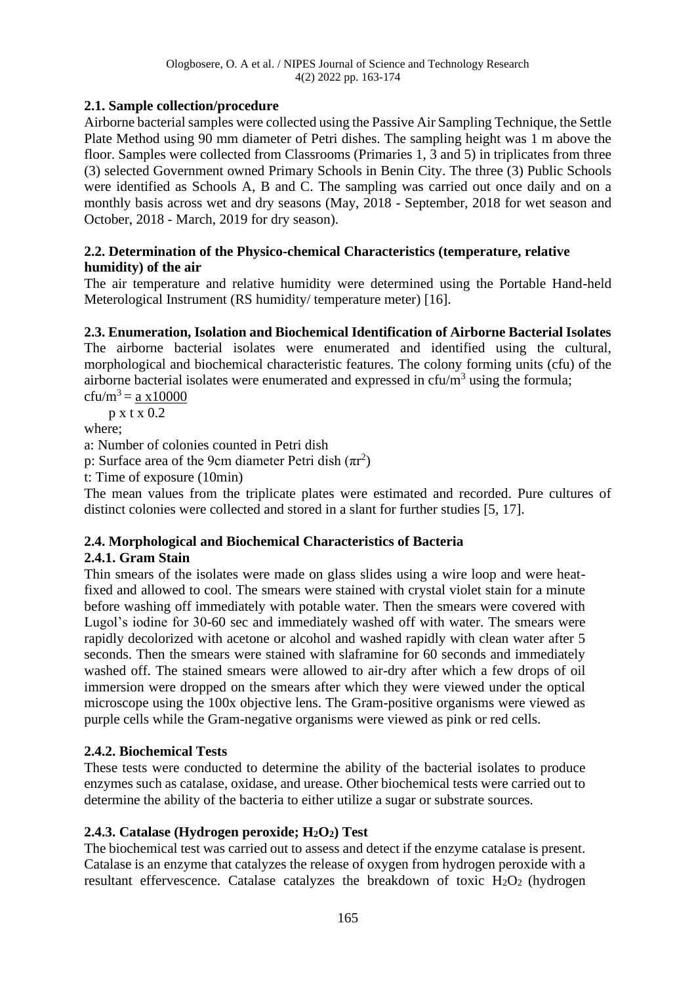## **2.1. Sample collection/procedure**

Airborne bacterial samples were collected using the Passive Air Sampling Technique, the Settle Plate Method using 90 mm diameter of Petri dishes. The sampling height was 1 m above the floor. Samples were collected from Classrooms (Primaries 1, 3 and 5) in triplicates from three (3) selected Government owned Primary Schools in Benin City. The three (3) Public Schools were identified as Schools A, B and C. The sampling was carried out once daily and on a monthly basis across wet and dry seasons (May, 2018 - September, 2018 for wet season and October, 2018 - March, 2019 for dry season).

#### **2.2. Determination of the Physico-chemical Characteristics (temperature, relative humidity) of the air**

The air temperature and relative humidity were determined using the Portable Hand-held Meterological Instrument (RS humidity/ temperature meter) [16].

## **2.3. Enumeration, Isolation and Biochemical Identification of Airborne Bacterial Isolates**

The airborne bacterial isolates were enumerated and identified using the cultural, morphological and biochemical characteristic features. The colony forming units (cfu) of the airborne bacterial isolates were enumerated and expressed in  $cfu/m<sup>3</sup>$  using the formula; cfu/m<sup>3</sup> = a x10000

p x t x 0.2

where;

a: Number of colonies counted in Petri dish

p: Surface area of the 9cm diameter Petri dish  $(\pi r^2)$ 

t: Time of exposure (10min)

The mean values from the triplicate plates were estimated and recorded. Pure cultures of distinct colonies were collected and stored in a slant for further studies [5, 17].

## **2.4. Morphological and Biochemical Characteristics of Bacteria**

## **2.4.1. Gram Stain**

Thin smears of the isolates were made on glass slides using a wire loop and were heatfixed and allowed to cool. The smears were stained with crystal violet stain for a minute before washing off immediately with potable water. Then the smears were covered with Lugol's iodine for 30-60 sec and immediately washed off with water. The smears were rapidly decolorized with acetone or alcohol and washed rapidly with clean water after 5 seconds. Then the smears were stained with slaframine for 60 seconds and immediately washed off. The stained smears were allowed to air-dry after which a few drops of oil immersion were dropped on the smears after which they were viewed under the optical microscope using the 100x objective lens. The Gram-positive organisms were viewed as purple cells while the Gram-negative organisms were viewed as pink or red cells.

## **2.4.2. Biochemical Tests**

These tests were conducted to determine the ability of the bacterial isolates to produce enzymes such as catalase, oxidase, and urease. Other biochemical tests were carried out to determine the ability of the bacteria to either utilize a sugar or substrate sources.

## **2.4.3. Catalase (Hydrogen peroxide; H2O2) Test**

The biochemical test was carried out to assess and detect if the enzyme catalase is present. Catalase is an enzyme that catalyzes the release of oxygen from hydrogen peroxide with a resultant effervescence. Catalase catalyzes the breakdown of toxic  $H_2O_2$  (hydrogen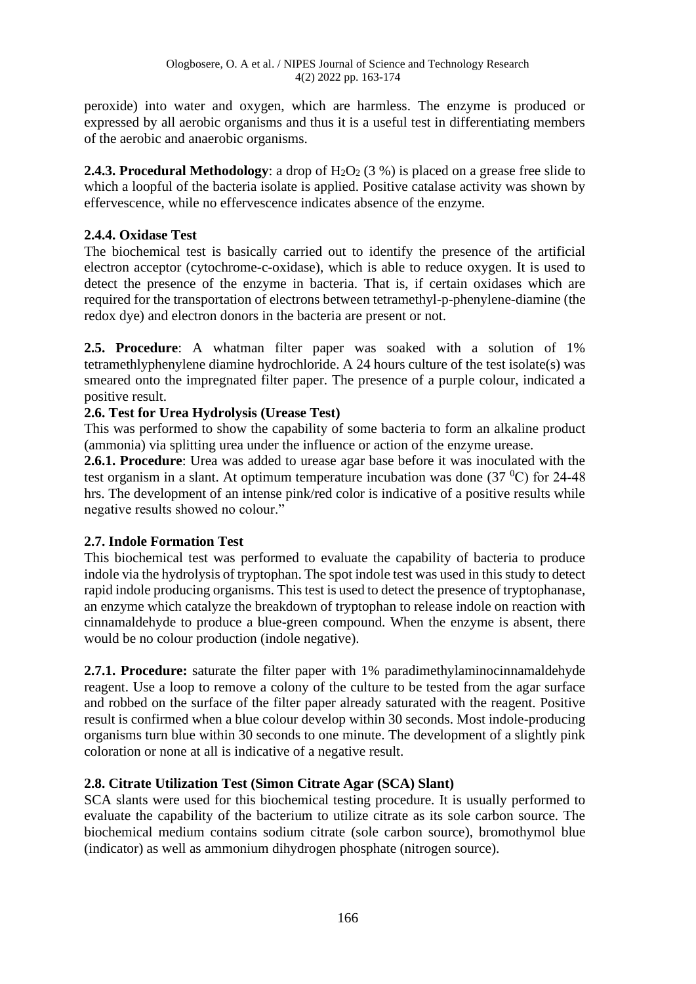peroxide) into water and oxygen, which are harmless. The enzyme is produced or expressed by all aerobic organisms and thus it is a useful test in differentiating members of the aerobic and anaerobic organisms.

**2.4.3. Procedural Methodology**: a drop of  $H_2O_2$  (3 %) is placed on a grease free slide to which a loopful of the bacteria isolate is applied. Positive catalase activity was shown by effervescence, while no effervescence indicates absence of the enzyme.

## **2.4.4. Oxidase Test**

The biochemical test is basically carried out to identify the presence of the artificial electron acceptor (cytochrome-c-oxidase), which is able to reduce oxygen. It is used to detect the presence of the enzyme in bacteria. That is, if certain oxidases which are required for the transportation of electrons between tetramethyl-p-phenylene-diamine (the redox dye) and electron donors in the bacteria are present or not.

**2.5. Procedure**: A whatman filter paper was soaked with a solution of 1% tetramethlyphenylene diamine hydrochloride. A 24 hours culture of the test isolate(s) was smeared onto the impregnated filter paper. The presence of a purple colour, indicated a positive result.

## **2.6. Test for Urea Hydrolysis (Urease Test)**

This was performed to show the capability of some bacteria to form an alkaline product (ammonia) via splitting urea under the influence or action of the enzyme urease.

**2.6.1. Procedure**: Urea was added to urease agar base before it was inoculated with the test organism in a slant. At optimum temperature incubation was done (37 $\mathrm{^{0}C}$ ) for 24-48 hrs. The development of an intense pink/red color is indicative of a positive results while negative results showed no colour."

#### **2.7. Indole Formation Test**

This biochemical test was performed to evaluate the capability of bacteria to produce indole via the hydrolysis of tryptophan. The spot indole test was used in this study to detect rapid indole producing organisms. This test is used to detect the presence of tryptophanase, an enzyme which catalyze the breakdown of tryptophan to release indole on reaction with cinnamaldehyde to produce a blue-green compound. When the enzyme is absent, there would be no colour production (indole negative).

**2.7.1. Procedure:** saturate the filter paper with 1% paradimethylaminocinnamaldehyde reagent. Use a loop to remove a colony of the culture to be tested from the agar surface and robbed on the surface of the filter paper already saturated with the reagent. Positive result is confirmed when a blue colour develop within 30 seconds. Most indole-producing organisms turn blue within 30 seconds to one minute. The development of a slightly pink coloration or none at all is indicative of a negative result.

## **2.8. Citrate Utilization Test (Simon Citrate Agar (SCA) Slant)**

SCA slants were used for this biochemical testing procedure. It is usually performed to evaluate the capability of the bacterium to utilize citrate as its sole carbon source. The biochemical medium contains sodium citrate (sole carbon source), bromothymol blue (indicator) as well as ammonium dihydrogen phosphate (nitrogen source).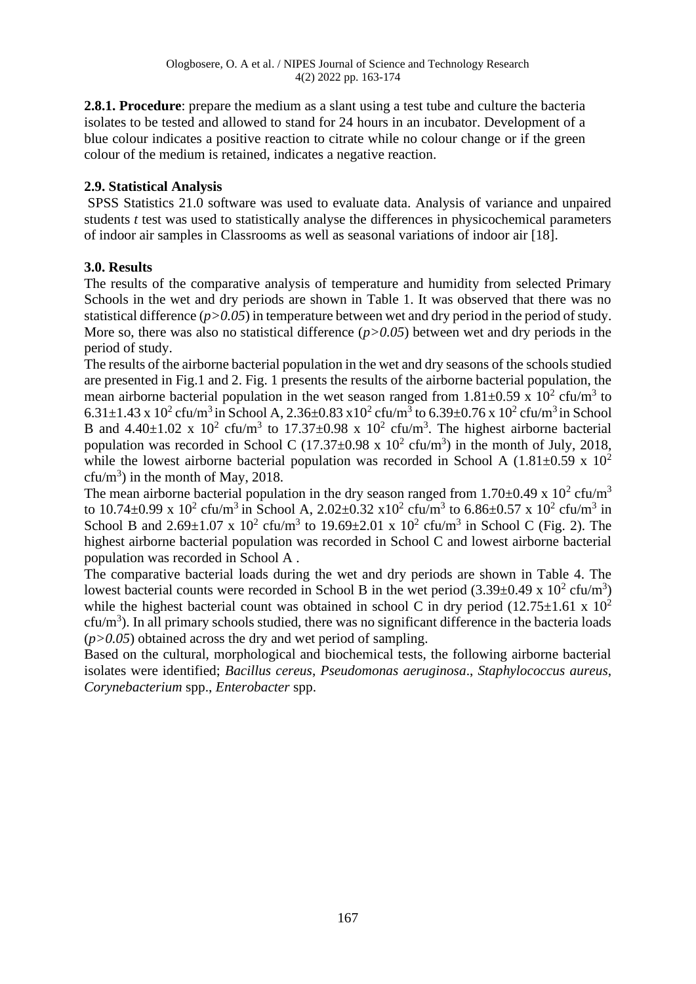**2.8.1. Procedure**: prepare the medium as a slant using a test tube and culture the bacteria isolates to be tested and allowed to stand for 24 hours in an incubator. Development of a blue colour indicates a positive reaction to citrate while no colour change or if the green colour of the medium is retained, indicates a negative reaction.

## **2.9. Statistical Analysis**

SPSS Statistics 21.0 software was used to evaluate data. Analysis of variance and unpaired students *t* test was used to statistically analyse the differences in physicochemical parameters of indoor air samples in Classrooms as well as seasonal variations of indoor air [18].

## **3.0. Results**

The results of the comparative analysis of temperature and humidity from selected Primary Schools in the wet and dry periods are shown in Table 1. It was observed that there was no statistical difference (*p>0.05*) in temperature between wet and dry period in the period of study. More so, there was also no statistical difference ( $p > 0.05$ ) between wet and dry periods in the period of study.

The results of the airborne bacterial population in the wet and dry seasons of the schools studied are presented in Fig.1 and 2. Fig. 1 presents the results of the airborne bacterial population, the mean airborne bacterial population in the wet season ranged from  $1.81 \pm 0.59$  x  $10^2$  cfu/m<sup>3</sup> to 6.31 $\pm$ 1.43 x 10<sup>2</sup> cfu/m<sup>3</sup> in School A, 2.36 $\pm$ 0.83 x 10<sup>2</sup> cfu/m<sup>3</sup> to 6.39 $\pm$ 0.76 x 10<sup>2</sup> cfu/m<sup>3</sup> in School B and  $4.40\pm1.02 \times 10^2$  cfu/m<sup>3</sup> to  $17.37\pm0.98 \times 10^2$  cfu/m<sup>3</sup>. The highest airborne bacterial population was recorded in School C  $(17.37 \pm 0.98 \times 10^2 \text{ c} \text{fu/m}^3)$  in the month of July, 2018, while the lowest airborne bacterial population was recorded in School A  $(1.81\pm0.59 \times 10^{2}$  $c$ fu/m<sup>3</sup>) in the month of May, 2018.

The mean airborne bacterial population in the dry season ranged from 1.70 $\pm$ 0.49 x 10<sup>2</sup> cfu/m<sup>3</sup> to 10.74 $\pm$ 0.99 x 10<sup>2</sup> cfu/m<sup>3</sup> in School A, 2.02 $\pm$ 0.32 x10<sup>2</sup> cfu/m<sup>3</sup> to 6.86 $\pm$ 0.57 x 10<sup>2</sup> cfu/m<sup>3</sup> in School B and  $2.69 \pm 1.07 \times 10^2$  cfu/m<sup>3</sup> to  $19.69 \pm 2.01 \times 10^2$  cfu/m<sup>3</sup> in School C (Fig. 2). The highest airborne bacterial population was recorded in School C and lowest airborne bacterial population was recorded in School A .

The comparative bacterial loads during the wet and dry periods are shown in Table 4. The lowest bacterial counts were recorded in School B in the wet period  $(3.39\pm0.49 \times 10^2 \text{ c} \text{fu/m}^3)$ while the highest bacterial count was obtained in school C in dry period  $(12.75\pm1.61 \times 10^{2}$  $cfu/m<sup>3</sup>$ ). In all primary schools studied, there was no significant difference in the bacteria loads  $(p>0.05)$  obtained across the dry and wet period of sampling.

Based on the cultural, morphological and biochemical tests, the following airborne bacterial isolates were identified; *Bacillus cereus*, *Pseudomonas aeruginosa*., *Staphylococcus aureus*, *Corynebacterium* spp., *Enterobacter* spp.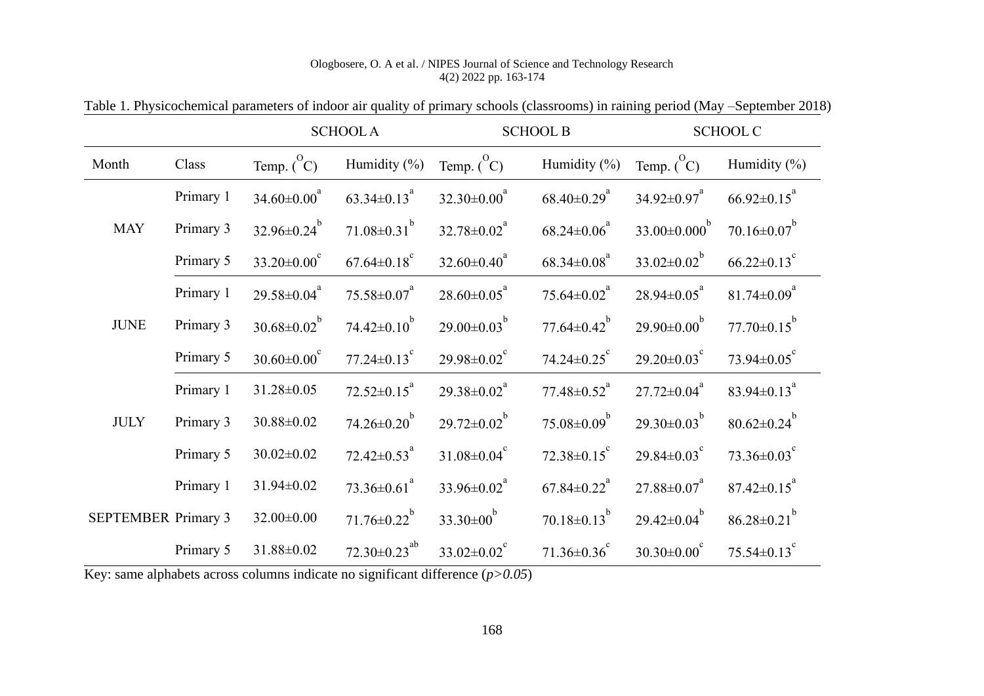|                            |           | <b>SCHOOLA</b>                |                               | <b>SCHOOL B</b>               |                               | <b>SCHOOL C</b>               |                               |
|----------------------------|-----------|-------------------------------|-------------------------------|-------------------------------|-------------------------------|-------------------------------|-------------------------------|
| Month                      | Class     | Temp. $\binom{0}{C}$          | Humidity $(\%)$               | Temp. $\binom{0}{C}$          | Humidity $(\%)$               | Temp. $\binom{0}{C}$          | Humidity $(\% )$              |
| <b>MAY</b>                 | Primary 1 | $34.60 \pm 0.00$ <sup>a</sup> | 63.34 $\pm$ 0.13 <sup>a</sup> | $32.30\pm0.00^a$              | $68.40{\pm}0.29^{a}$          | $34.92 \pm 0.97$ <sup>a</sup> | $66.92 \pm 0.15^a$            |
|                            | Primary 3 | $32.96 \pm 0.24^{b}$          | $71.08 \pm 0.31^{b}$          | $32.78 \pm 0.02$ <sup>a</sup> | $68.24 \pm 0.06^a$            | $33.00\pm0.000^b$             | $70.16 \pm 0.07^b$            |
|                            | Primary 5 | $33.20 \pm 0.00^{\circ}$      | $67.64 \pm 0.18$ <sup>c</sup> | $32.60 \pm 0.40^a$            | $68.34{\pm}0.08^{a}$          | $33.02 \pm 0.02^b$            | $66.22 \pm 0.13$ <sup>c</sup> |
| <b>JUNE</b>                | Primary 1 | $29.58 \pm 0.04^a$            | $75.58 \pm 0.07$ <sup>a</sup> | $28.60\pm0.05^a$              | $75.64 \pm 0.02$ <sup>a</sup> | $28.94 \pm 0.05^a$            | $81.74 \pm 0.09$ <sup>a</sup> |
|                            | Primary 3 | $30.68 \pm 0.02^b$            | 74.42 $\pm$ 0.10 <sup>b</sup> | $29.00 \pm 0.03^{b}$          | $77.64 \pm 0.42$ <sup>b</sup> | $29.90\pm0.00^b$              | $77.70 \pm 0.15^b$            |
|                            | Primary 5 | $30.60{\pm}0.00^{\circ}$      | 77.24 $\pm$ 0.13 $\degree$    | $29.98 \pm 0.02$ <sup>c</sup> | 74.24 $\pm$ 0.25 $\degree$    | 29.20 $\pm$ 0.03 $^{\circ}$   | $73.94 \pm 0.05$ <sup>c</sup> |
| <b>JULY</b>                | Primary 1 | 31.28±0.05                    | $72.52 \pm 0.15^a$            | $29.38 \pm 0.02^a$            | $77.48 \pm 0.52$ <sup>a</sup> | $27.72{\pm}0.04^{a}$          | 83.94 $\pm$ 0.13 <sup>a</sup> |
|                            | Primary 3 | $30.88 \pm 0.02$              | $74.26 \pm 0.20^b$            | $29.72 \pm 0.02^b$            | $75.08 \pm 0.09^b$            | 29.30 $\pm$ 0.03 <sup>b</sup> | $80.62 \pm 0.24^{b}$          |
|                            | Primary 5 | $30.02 \pm 0.02$              | $72.42 \pm 0.53$ <sup>a</sup> | $31.08 \pm 0.04$ <sup>c</sup> | $72.38 \pm 0.15$ °            | 29.84 $\pm$ 0.03 $^{\circ}$   | $73.36 \pm 0.03$ <sup>c</sup> |
| <b>SEPTEMBER Primary 3</b> | Primary 1 | $31.94 \pm 0.02$              | $73.36 \pm 0.61$ <sup>a</sup> | $33.96 \pm 0.02^a$            | $67.84 \pm 0.22$ <sup>a</sup> | $27.88 \pm 0.07$ <sup>a</sup> | $87.42 \pm 0.15^a$            |
|                            |           | 32.00±0.00                    | $71.76 \pm 0.22$ <sup>b</sup> | $33.30\pm00^b$                | $70.18 \pm 0.13^{b}$          | $29.42 \pm 0.04^b$            | $86.28 \pm 0.21^{b}$          |
|                            | Primary 5 | 31.88±0.02                    | $72.30\pm0.23^{ab}$           | $33.02 \pm 0.02$ <sup>c</sup> | $71.36 \pm 0.36$ <sup>c</sup> | $30.30\pm0.00^{\circ}$        | $75.54 \pm 0.13$ <sup>c</sup> |

Table 1. Physicochemical parameters of indoor air quality of primary schools (classrooms) in raining period (May –September 2018)

Key: same alphabets across columns indicate no significant difference (*p>0.05*)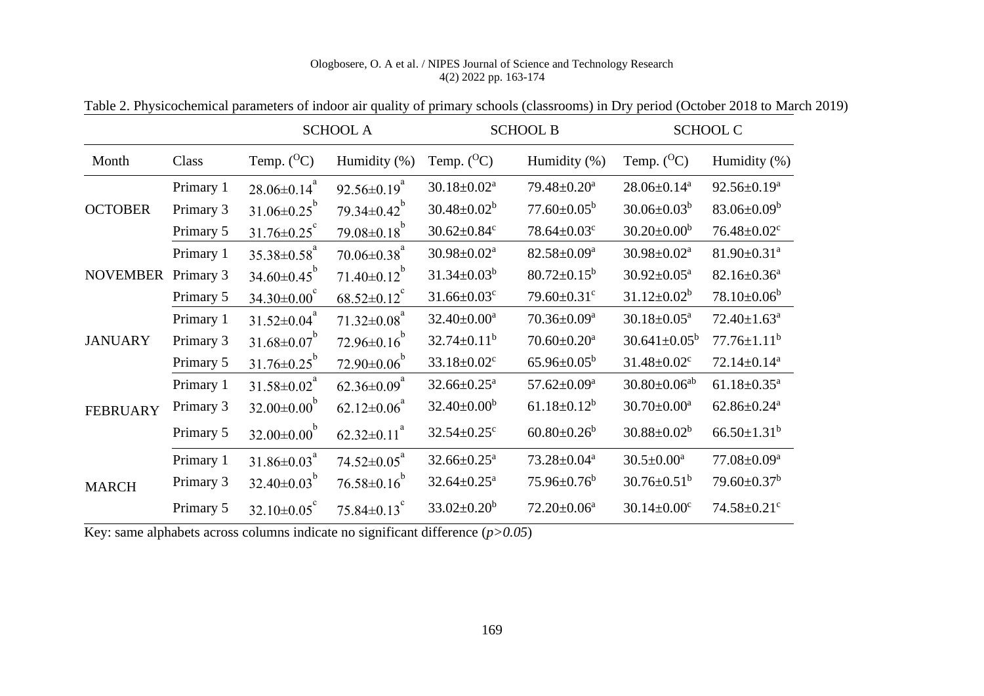|                 |           | <b>SCHOOL A</b>               |                               | <b>SCHOOL B</b>               |                               | <b>SCHOOL C</b>               |                               |
|-----------------|-----------|-------------------------------|-------------------------------|-------------------------------|-------------------------------|-------------------------------|-------------------------------|
| Month           | Class     | Temp. $(^{O}C)$               | Humidity (%)                  | Temp. $(^OC)$                 | Humidity (%)                  | Temp. $(^OC)$                 | Humidity (%)                  |
| <b>OCTOBER</b>  | Primary 1 | $28.06 \pm 0.14$ <sup>a</sup> | $92.56 \pm 0.19^a$            | $30.18 \pm 0.02^a$            | $79.48 \pm 0.20^a$            | $28.06 \pm 0.14$ <sup>a</sup> | $92.56 \pm 0.19^a$            |
|                 | Primary 3 | $31.06 \pm 0.25^b$            | 79.34 $\pm$ 0.42 <sup>b</sup> | $30.48 \pm 0.02^b$            | $77.60 \pm 0.05^{\rm b}$      | $30.06 \pm 0.03^b$            | $83.06 \pm 0.09^b$            |
|                 | Primary 5 | $31.76 \pm 0.25$ <sup>c</sup> | $79.08 \pm 0.18^{b}$          | $30.62 \pm 0.84$ c            | $78.64 \pm 0.03$ c            | $30.20 \pm 0.00^b$            | $76.48 \pm 0.02$ <sup>c</sup> |
|                 | Primary 1 | $35.38 \pm 0.58$ <sup>a</sup> | $70.06 \pm 0.38$ <sup>a</sup> | $30.98 \pm 0.02^a$            | $82.58 \pm 0.09^a$            | $30.98 \pm 0.02^a$            | $81.90 \pm 0.31$ <sup>a</sup> |
| <b>NOVEMBER</b> | Primary 3 | $34.60 \pm 0.45^b$            | $71.40 \pm 0.12^b$            | $31.34 \pm 0.03^b$            | $80.72 \pm 0.15^b$            | $30.92 \pm 0.05^a$            | $82.16 \pm 0.36^a$            |
|                 | Primary 5 | $34.30\pm0.00^{\circ}$        | $68.52 \pm 0.12$ <sup>c</sup> | $31.66 \pm 0.03$ c            | $79.60 \pm 0.31$ c            | $31.12 \pm 0.02^b$            | $78.10 \pm 0.06^b$            |
| <b>JANUARY</b>  | Primary 1 | $31.52 \pm 0.04^a$            | $71.32{\pm}0.08^{a}$          | $32.40 \pm 0.00^a$            | $70.36 \pm 0.09^a$            | $30.18 \pm 0.05^a$            | $72.40 \pm 1.63$ <sup>a</sup> |
|                 | Primary 3 | $31.68 \pm 0.07^b$            | $72.96 \pm 0.16^b$            | $32.74 \pm 0.11^b$            | $70.60 \pm 0.20$ <sup>a</sup> | $30.641 \pm 0.05^b$           | $77.76 \pm 1.11^b$            |
|                 | Primary 5 | $31.76 \pm 0.25^{b}$          | $72.90\pm0.06^b$              | $33.18 \pm 0.02$ <sup>c</sup> | $65.96 \pm 0.05^{\rm b}$      | $31.48 \pm 0.02$ <sup>c</sup> | $72.14 \pm 0.14$ <sup>a</sup> |
| <b>FEBRUARY</b> | Primary 1 | $31.58 \pm 0.02^a$            | $62.36 \pm 0.09^a$            | $32.66 \pm 0.25^a$            | $57.62 \pm 0.09^a$            | $30.80 \pm 0.06^{ab}$         | $61.18 \pm 0.35$ <sup>a</sup> |
|                 | Primary 3 | $32.00\pm0.00^b$              | $62.12 \pm 0.06^4$            | $32.40 \pm 0.00^b$            | $61.18 \pm 0.12^b$            | $30.70 \pm 0.00^a$            | $62.86 \pm 0.24$ <sup>a</sup> |
|                 | Primary 5 | $32.00 \pm 0.00^b$            | $62.32 \pm 0.11$ <sup>a</sup> | $32.54 \pm 0.25$ <sup>c</sup> | $60.80 \pm 0.26^b$            | $30.88 \pm 0.02^b$            | $66.50 \pm 1.31^b$            |
| <b>MARCH</b>    | Primary 1 | $31.86 \pm 0.03$ <sup>a</sup> | $74.52{\pm}0.05^a$            | $32.66 \pm 0.25^{\text{a}}$   | 73.28±0.04 <sup>a</sup>       | $30.5 \pm 0.00^a$             | $77.08 \pm 0.09^{\mathrm{a}}$ |
|                 | Primary 3 | $32.40\pm0.03^{b}$            | $76.58 \pm 0.16^b$            | $32.64 \pm 0.25^{\text{a}}$   | $75.96 \pm 0.76^b$            | $30.76 \pm 0.51^b$            | $79.60 \pm 0.37^b$            |
|                 | Primary 5 | $32.10{\pm}0.05^{\circ}$      | $75.84 \pm 0.13$ <sup>c</sup> | $33.02 \pm 0.20^b$            | $72.20 \pm 0.06^a$            | $30.14 \pm 0.00$ <sup>c</sup> | $74.58 \pm 0.21$ c            |

Table 2. Physicochemical parameters of indoor air quality of primary schools (classrooms) in Dry period (October 2018 to March 2019)

Key: same alphabets across columns indicate no significant difference  $(p>0.05)$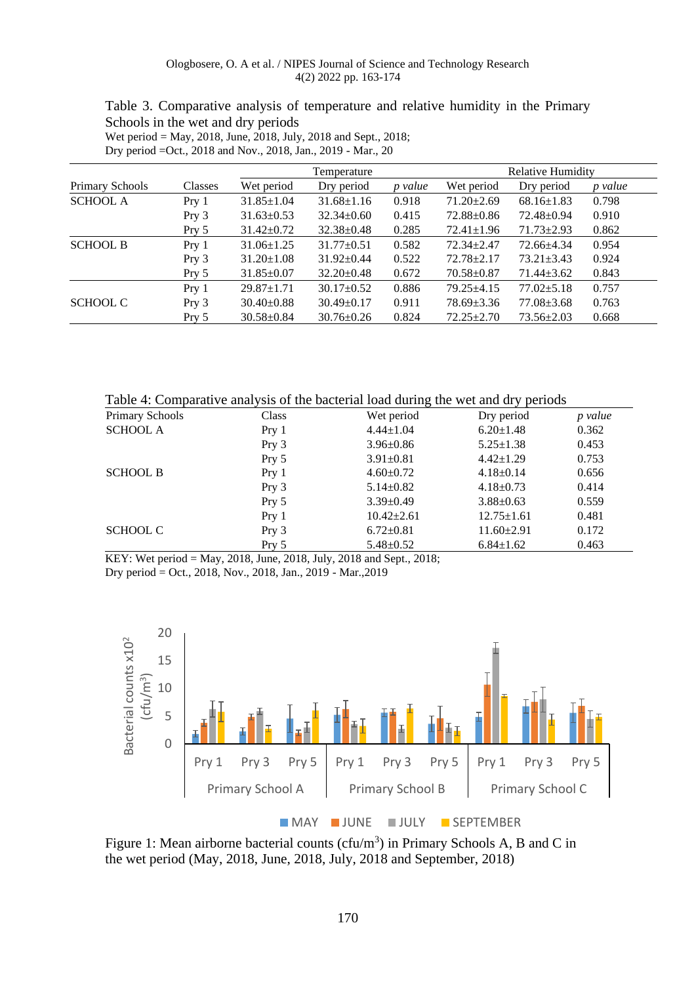Table 3. Comparative analysis of temperature and relative humidity in the Primary Schools in the wet and dry periods

|                 |                  | Temperature      |                  |         | <b>Relative Humidity</b> |                  |         |
|-----------------|------------------|------------------|------------------|---------|--------------------------|------------------|---------|
| Primary Schools | Classes          | Wet period       | Dry period       | p value | Wet period               | Dry period       | p value |
| <b>SCHOOL A</b> | Pry 1            | $31.85 \pm 1.04$ | $31.68 \pm 1.16$ | 0.918   | $71.20 \pm 2.69$         | $68.16 \pm 1.83$ | 0.798   |
|                 | Pry 3            | $31.63 \pm 0.53$ | $32.34 \pm 0.60$ | 0.415   | $72.88 \pm 0.86$         | $72.48 \pm 0.94$ | 0.910   |
|                 | Pry <sub>5</sub> | $31.42 \pm 0.72$ | $32.38 \pm 0.48$ | 0.285   | $72.41 \pm 1.96$         | $71.73 \pm 2.93$ | 0.862   |
| <b>SCHOOL B</b> | Pry 1            | $31.06 \pm 1.25$ | $31.77 \pm 0.51$ | 0.582   | $72.34 + 2.47$           | 72.66+4.34       | 0.954   |
|                 | $Pry_3$          | $31.20 \pm 1.08$ | $31.92 \pm 0.44$ | 0.522   | $72.78 \pm 2.17$         | $73.21 \pm 3.43$ | 0.924   |
|                 | Pry <sub>5</sub> | $31.85 \pm 0.07$ | $32.20 \pm 0.48$ | 0.672   | $70.58 \pm 0.87$         | $71.44 \pm 3.62$ | 0.843   |
|                 | Pry 1            | $29.87 \pm 1.71$ | $30.17 \pm 0.52$ | 0.886   | $79.25 \pm 4.15$         | $77.02 \pm 5.18$ | 0.757   |
| <b>SCHOOL C</b> | Pry <sub>3</sub> | $30.40 \pm 0.88$ | $30.49 \pm 0.17$ | 0.911   | $78.69 \pm 3.36$         | $77.08 \pm 3.68$ | 0.763   |
|                 | Pry <sub>5</sub> | $30.58 \pm 0.84$ | $30.76 \pm 0.26$ | 0.824   | $72.25 \pm 2.70$         | $73.56 \pm 2.03$ | 0.668   |

Wet period = May, 2018, June, 2018, July, 2018 and Sept., 2018; Dry period =Oct., 2018 and Nov., 2018, Jan., 2019 - Mar., 20

Table 4: Comparative analysis of the bacterial load during the wet and dry periods

| <b>Primary Schools</b> | Class            | Wet period       | Dry period       | p value |
|------------------------|------------------|------------------|------------------|---------|
| <b>SCHOOL A</b>        | Pry <sub>1</sub> | $4.44 \pm 1.04$  | $6.20 \pm 1.48$  | 0.362   |
|                        | $Pry_3$          | $3.96 \pm 0.86$  | $5.25 \pm 1.38$  | 0.453   |
|                        | Pry <sub>5</sub> | $3.91 \pm 0.81$  | $4.42 \pm 1.29$  | 0.753   |
| <b>SCHOOL B</b>        | Pry <sub>1</sub> | $4.60 \pm 0.72$  | $4.18 \pm 0.14$  | 0.656   |
|                        | $Pry_3$          | $5.14 \pm 0.82$  | $4.18 \pm 0.73$  | 0.414   |
|                        | Pry <sub>5</sub> | $3.39 \pm 0.49$  | $3.88 \pm 0.63$  | 0.559   |
|                        | Pry <sub>1</sub> | $10.42 \pm 2.61$ | $12.75 \pm 1.61$ | 0.481   |
| <b>SCHOOL C</b>        | Pry <sub>3</sub> | $6.72 \pm 0.81$  | $11.60 \pm 2.91$ | 0.172   |
|                        | Prv <sub>5</sub> | $5.48 \pm 0.52$  | $6.84 \pm 1.62$  | 0.463   |

KEY: Wet period = May, 2018, June, 2018, July, 2018 and Sept., 2018; Dry period = Oct., 2018, Nov., 2018, Jan., 2019 - Mar.,2019



Figure 1: Mean airborne bacterial counts ( $cfu/m<sup>3</sup>$ ) in Primary Schools A, B and C in the wet period (May, 2018, June, 2018, July, 2018 and September, 2018)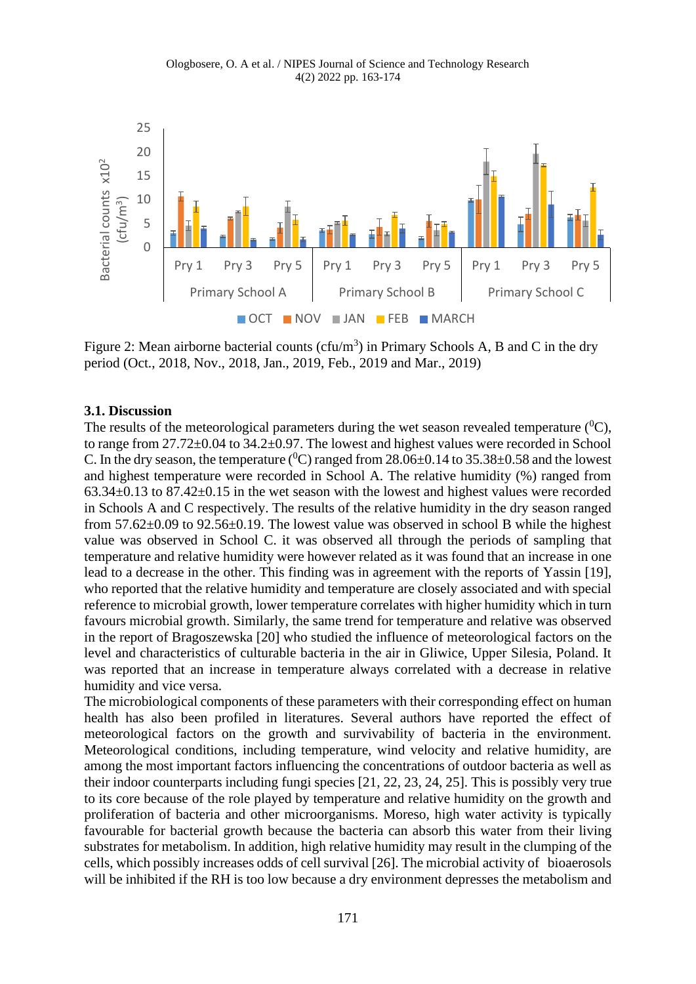Ologbosere, O. A et al. / NIPES Journal of Science and Technology Research 4(2) 2022 pp. 163-174



Figure 2: Mean airborne bacterial counts (cfu/m<sup>3</sup>) in Primary Schools A, B and C in the dry period (Oct., 2018, Nov., 2018, Jan., 2019, Feb., 2019 and Mar., 2019)

#### **3.1. Discussion**

The results of the meteorological parameters during the wet season revealed temperature  $({}^{0}C)$ , to range from 27.72±0.04 to 34.2±0.97. The lowest and highest values were recorded in School C. In the dry season, the temperature ( $^{0}$ C) ranged from 28.06 $\pm$ 0.14 to 35.38 $\pm$ 0.58 and the lowest and highest temperature were recorded in School A. The relative humidity (%) ranged from 63.34±0.13 to 87.42±0.15 in the wet season with the lowest and highest values were recorded in Schools A and C respectively. The results of the relative humidity in the dry season ranged from 57.62±0.09 to 92.56±0.19. The lowest value was observed in school B while the highest value was observed in School C. it was observed all through the periods of sampling that temperature and relative humidity were however related as it was found that an increase in one lead to a decrease in the other. This finding was in agreement with the reports of Yassin [19], who reported that the relative humidity and temperature are closely associated and with special reference to microbial growth, lower temperature correlates with higher humidity which in turn favours microbial growth. Similarly, the same trend for temperature and relative was observed in the report of Bragoszewska [20] who studied the influence of meteorological factors on the level and characteristics of culturable bacteria in the air in Gliwice, Upper Silesia, Poland. It was reported that an increase in temperature always correlated with a decrease in relative humidity and vice versa.

The microbiological components of these parameters with their corresponding effect on human health has also been profiled in literatures. Several authors have reported the effect of meteorological factors on the growth and survivability of bacteria in the environment. Meteorological conditions, including temperature, wind velocity and relative humidity, are among the most important factors influencing the concentrations of outdoor bacteria as well as their indoor counterparts including fungi species [21, 22, 23, 24, 25]. This is possibly very true to its core because of the role played by temperature and relative humidity on the growth and proliferation of bacteria and other microorganisms. Moreso, high water activity is typically favourable for bacterial growth because the bacteria can absorb this water from their living substrates for metabolism. In addition, high relative humidity may result in the clumping of the cells, which possibly increases odds of cell survival [26]. The microbial activity of bioaerosols will be inhibited if the RH is too low because a dry environment depresses the metabolism and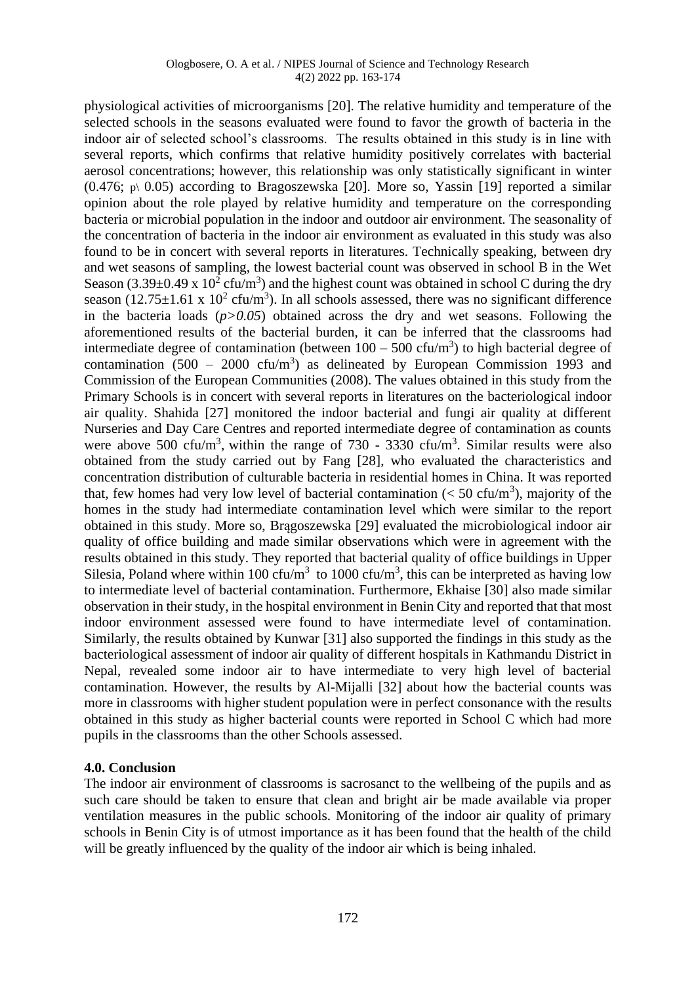physiological activities of microorganisms [20]. The relative humidity and temperature of the selected schools in the seasons evaluated were found to favor the growth of bacteria in the indoor air of selected school's classrooms. The results obtained in this study is in line with several reports, which confirms that relative humidity positively correlates with bacterial aerosol concentrations; however, this relationship was only statistically significant in winter  $(0.476; p\ 0.05)$  according to Bragoszewska [20]. More so, Yassin [19] reported a similar opinion about the role played by relative humidity and temperature on the corresponding bacteria or microbial population in the indoor and outdoor air environment. The seasonality of the concentration of bacteria in the indoor air environment as evaluated in this study was also found to be in concert with several reports in literatures. Technically speaking, between dry and wet seasons of sampling, the lowest bacterial count was observed in school B in the Wet Season (3.39 $\pm$ 0.49 x 10<sup>2</sup> cfu/m<sup>3</sup>) and the highest count was obtained in school C during the dry season (12.75 $\pm$ 1.61 x 10<sup>2</sup> cfu/m<sup>3</sup>). In all schools assessed, there was no significant difference in the bacteria loads (*p>0.05*) obtained across the dry and wet seasons. Following the aforementioned results of the bacterial burden, it can be inferred that the classrooms had intermediate degree of contamination (between  $100 - 500$  cfu/m<sup>3</sup>) to high bacterial degree of contamination  $(500 - 2000 \text{ cfu/m}^3)$  as delineated by European Commission 1993 and Commission of the European Communities (2008). The values obtained in this study from the Primary Schools is in concert with several reports in literatures on the bacteriological indoor air quality. Shahida [27] monitored the indoor bacterial and fungi air quality at different Nurseries and Day Care Centres and reported intermediate degree of contamination as counts were above 500 cfu/m<sup>3</sup>, within the range of 730 - 3330 cfu/m<sup>3</sup>. Similar results were also obtained from the study carried out by Fang [28], who evaluated the characteristics and concentration distribution of culturable bacteria in residential homes in China. It was reported that, few homes had very low level of bacterial contamination ( $<$  50 cfu/m<sup>3</sup>), majority of the homes in the study had intermediate contamination level which were similar to the report obtained in this study. More so, Brągoszewska [29] evaluated the microbiological indoor air quality of office building and made similar observations which were in agreement with the results obtained in this study. They reported that bacterial quality of office buildings in Upper Silesia, Poland where within 100 cfu/m<sup>3</sup> to 1000 cfu/m<sup>3</sup>, this can be interpreted as having low to intermediate level of bacterial contamination. Furthermore, Ekhaise [30] also made similar observation in their study, in the hospital environment in Benin City and reported that that most indoor environment assessed were found to have intermediate level of contamination. Similarly, the results obtained by Kunwar [31] also supported the findings in this study as the bacteriological assessment of indoor air quality of different hospitals in Kathmandu District in Nepal, revealed some indoor air to have intermediate to very high level of bacterial contamination*.* However, the results by Al-Mijalli [32] about how the bacterial counts was more in classrooms with higher student population were in perfect consonance with the results obtained in this study as higher bacterial counts were reported in School C which had more pupils in the classrooms than the other Schools assessed.

#### **4.0. Conclusion**

The indoor air environment of classrooms is sacrosanct to the wellbeing of the pupils and as such care should be taken to ensure that clean and bright air be made available via proper ventilation measures in the public schools. Monitoring of the indoor air quality of primary schools in Benin City is of utmost importance as it has been found that the health of the child will be greatly influenced by the quality of the indoor air which is being inhaled.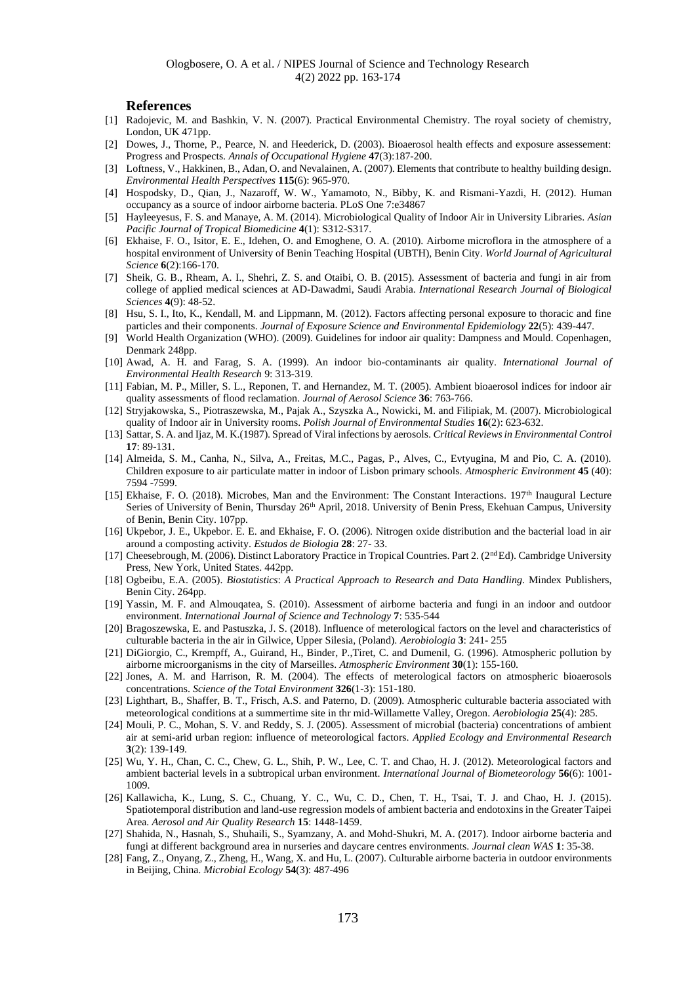#### **References**

- [1] Radojevic, M. and Bashkin, V. N. (2007). Practical Environmental Chemistry. The royal society of chemistry, London, UK 471pp.
- [2] Dowes, J., Thorne, P., Pearce, N. and Heederick, D. (2003). Bioaerosol health effects and exposure assessement: Progress and Prospects. *Annals of Occupational Hygiene* **47**(3):187-200.
- [3] Loftness, V., Hakkinen, B., Adan, O. and Nevalainen, A. (2007). Elements that contribute to healthy building design. *Environmental Health Perspectives* **115**(6): 965-970.
- [4] Hospodsky, D., Qian, J., Nazaroff, W. W., Yamamoto, N., Bibby, K. and Rismani-Yazdi, H. (2012). Human occupancy as a source of indoor airborne bacteria. PLoS One 7:e34867
- [5] Hayleeyesus, F. S. and Manaye, A. M. (2014). Microbiological Quality of Indoor Air in University Libraries. *Asian Pacific Journal of Tropical Biomedicine* **4**(1): S312-S317.
- [6] Ekhaise, F. O., Isitor, E. E., Idehen, O. and Emoghene, O. A. (2010). Airborne microflora in the atmosphere of a hospital environment of University of Benin Teaching Hospital (UBTH), Benin City. *World Journal of Agricultural Science* **6**(2):166-170.
- [7] Sheik, G. B., Rheam, A. I., Shehri, Z. S. and Otaibi, O. B. (2015). Assessment of bacteria and fungi in air from college of applied medical sciences at AD-Dawadmi, Saudi Arabia. *International Research Journal of Biological Sciences* **4**(9): 48-52.
- [8] Hsu, S. I., Ito, K., Kendall, M. and Lippmann, M. (2012). Factors affecting personal exposure to thoracic and fine particles and their components. *Journal of Exposure Science and Environmental Epidemiology* **22**(5): 439-447.
- [9] World Health Organization (WHO). (2009). Guidelines for indoor air quality: Dampness and Mould. Copenhagen, Denmark 248pp.
- [10] Awad, A. H. and Farag, S. A. (1999). An indoor bio-contaminants air quality. *International Journal of Environmental Health Research* 9: 313-319.
- [11] Fabian, M. P., Miller, S. L., Reponen, T. and Hernandez, M. T. (2005). Ambient bioaerosol indices for indoor air quality assessments of flood reclamation. *Journal of Aerosol Science* **36**: 763-766.
- [12] Stryjakowska, S., Piotraszewska, M., Pajak A., Szyszka A., Nowicki, M. and Filipiak, M. (2007). Microbiological quality of Indoor air in University rooms. *Polish Journal of Environmental Studies* **16**(2): 623-632.
- [13] Sattar, S. A. and Ijaz, M. K.(1987). Spread of Viral infections by aerosols. *Critical Reviews in Environmental Control* **17**: 89-131.
- [14] Almeida, S. M., Canha, N., Silva, A., Freitas, M.C., Pagas, P., Alves, C., Evtyugina, M and Pio, C. A. (2010). Children exposure to air particulate matter in indoor of Lisbon primary schools. *Atmospheric Environment* **45** (40): 7594 -7599.
- [15] Ekhaise, F. O. (2018). Microbes, Man and the Environment: The Constant Interactions. 197th Inaugural Lecture Series of University of Benin, Thursday 26<sup>th</sup> April, 2018. University of Benin Press, Ekehuan Campus, University of Benin, Benin City. 107pp.
- [16] Ukpebor, J. E., Ukpebor. E. E. and Ekhaise, F. O. (2006). Nitrogen oxide distribution and the bacterial load in air around a composting activity. *Estudos de Biologia* **28**: 27- 33.
- [17] Cheesebrough, M. (2006). Distinct Laboratory Practice in Tropical Countries. Part 2. (2<sup>nd</sup> Ed). Cambridge University Press, New York, United States. 442pp.
- [18] Ogbeibu, E.A. (2005). *Biostatistics*: *A Practical Approach to Research and Data Handling.* Mindex Publishers, Benin City. 264pp.
- [19] Yassin, M. F. and Almouqatea, S. (2010). Assessment of airborne bacteria and fungi in an indoor and outdoor environment. *International Journal of Science and Technology* **7**: 535-544
- [20] Bragoszewska, E. and Pastuszka, J. S. (2018). Influence of meterological factors on the level and characteristics of culturable bacteria in the air in Gilwice, Upper Silesia, (Poland). *Aerobiologia* **3**: 241- 255
- [21] DiGiorgio, C., Krempff, A., Guirand, H., Binder, P.,Tiret, C. and Dumenil, G. (1996). Atmospheric pollution by airborne microorganisms in the city of Marseilles. *Atmospheric Environment* **30**(1): 155-160.
- [22] Jones, A. M. and Harrison, R. M. (2004). The effects of meterological factors on atmospheric bioaerosols concentrations. *Science of the Total Environment* **326**(1-3): 151-180.
- [23] Lighthart, B., Shaffer, B. T., Frisch, A.S. and Paterno, D. (2009). Atmospheric culturable bacteria associated with meteorological conditions at a summertime site in thr mid-Willamette Valley, Oregon. *Aerobiologia* **25**(4): 285.
- [24] Mouli, P. C., Mohan, S. V. and Reddy, S. J. (2005). Assessment of microbial (bacteria) concentrations of ambient air at semi-arid urban region: influence of meteorological factors. *Applied Ecology and Environmental Research* **3**(2): 139-149.
- [25] Wu, Y. H., Chan, C. C., Chew, G. L., Shih, P. W., Lee, C. T. and Chao, H. J. (2012). Meteorological factors and ambient bacterial levels in a subtropical urban environment. *International Journal of Biometeorology* **56**(6): 1001- 1009.
- [26] Kallawicha, K., Lung, S. C., Chuang, Y. C., Wu, C. D., Chen, T. H., Tsai, T. J. and Chao, H. J. (2015). Spatiotemporal distribution and land-use regression models of ambient bacteria and endotoxins in the Greater Taipei Area. *Aerosol and Air Quality Research* **15**: 1448-1459.
- [27] Shahida, N., Hasnah, S., Shuhaili, S., Syamzany, A. and Mohd-Shukri, M. A. (2017). Indoor airborne bacteria and fungi at different background area in nurseries and daycare centres environments. *Journal clean WAS* **1**: 35-38.
- [28] Fang, Z., Onyang, Z., Zheng, H., Wang, X. and Hu, L. (2007). Culturable airborne bacteria in outdoor environments in Beijing, China. *Microbial Ecology* **54**(3): 487-496